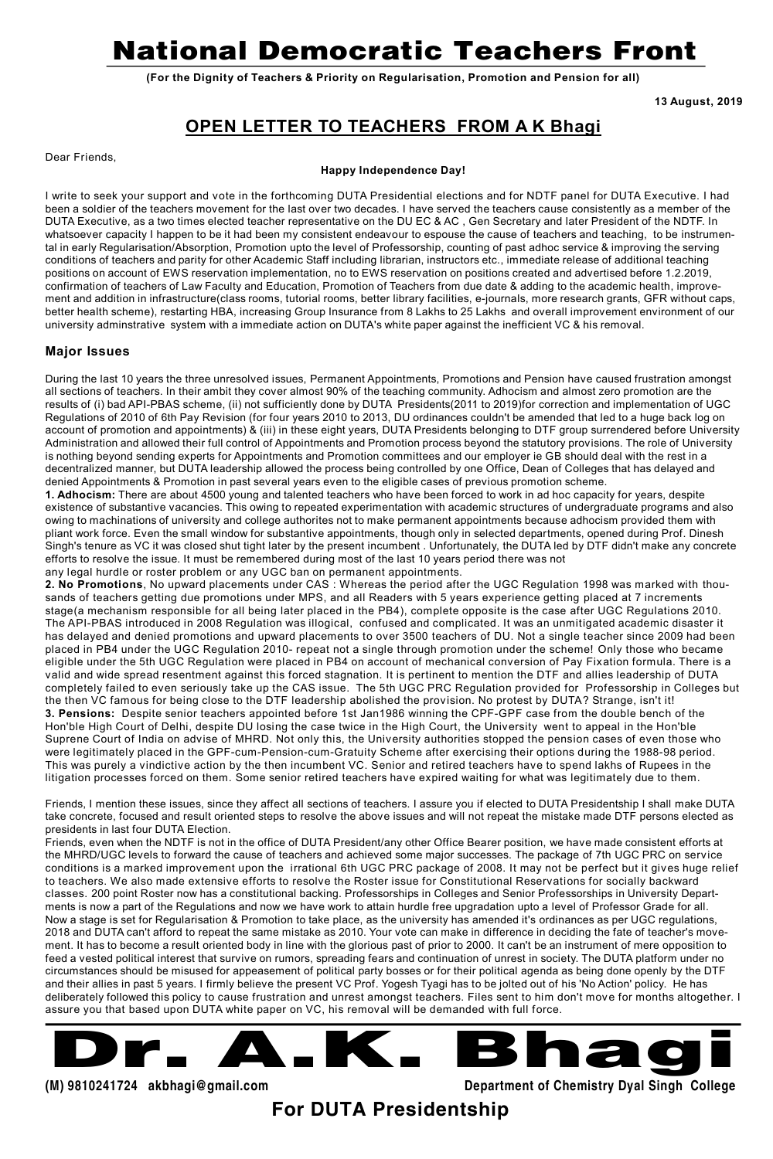# **National Democratic Teachers Front**

**(For the Dignity of Teachers & Priority on Regularisation, Promotion and Pension for all)**

**13 August, 2019**

## **OPEN LETTER TO TEACHERS FROM A K Bhagi**

Dear Friends,

#### **Happy Independence Day!**

I write to seek your support and vote in the forthcoming DUTA Presidential elections and for NDTF panel for DUTA Executive. I had been a soldier of the teachers movement for the last over two decades. I have served the teachers cause consistently as a member of the DUTA Executive, as a two times elected teacher representative on the DU EC & AC , Gen Secretary and later President of the NDTF. In whatsoever capacity I happen to be it had been my consistent endeavour to espouse the cause of teachers and teaching, to be instrumental in early Regularisation/Absorption, Promotion upto the level of Professorship, counting of past adhoc service & improving the serving conditions of teachers and parity for other Academic Staff including librarian, instructors etc., immediate release of additional teaching positions on account of EWS reservation implementation, no to EWS reservation on positions created and advertised before 1.2.2019, confirmation of teachers of Law Faculty and Education, Promotion of Teachers from due date & adding to the academic health, improvement and addition in infrastructure(class rooms, tutorial rooms, better library facilities, e-journals, more research grants, GFR without caps, better health scheme), restarting HBA, increasing Group Insurance from 8 Lakhs to 25 Lakhs and overall improvement environment of our university adminstrative system with a immediate action on DUTA's white paper against the inefficient VC & his removal.

#### **Major Issues**

During the last 10 years the three unresolved issues, Permanent Appointments, Promotions and Pension have caused frustration amongst all sections of teachers. In their ambit they cover almost 90% of the teaching community. Adhocism and almost zero promotion are the results of (i) bad API-PBAS scheme, (ii) not sufficiently done by DUTA Presidents(2011 to 2019)for correction and implementation of UGC Regulations of 2010 of 6th Pay Revision (for four years 2010 to 2013, DU ordinances couldn't be amended that led to a huge back log on account of promotion and appointments) & (iii) in these eight years, DUTA Presidents belonging to DTF group surrendered before University Administration and allowed their full control of Appointments and Promotion process beyond the statutory provisions. The role of University is nothing beyond sending experts for Appointments and Promotion committees and our employer ie GB should deal with the rest in a decentralized manner, but DUTA leadership allowed the process being controlled by one Office, Dean of Colleges that has delayed and denied Appointments & Promotion in past several years even to the eligible cases of previous promotion scheme.

**1. Adhocism:** There are about 4500 young and talented teachers who have been forced to work in ad hoc capacity for years, despite existence of substantive vacancies. This owing to repeated experimentation with academic structures of undergraduate programs and also owing to machinations of university and college authorites not to make permanent appointments because adhocism provided them with pliant work force. Even the small window for substantive appointments, though only in selected departments, opened during Prof. Dinesh Singh's tenure as VC it was closed shut tight later by the present incumbent . Unfortunately, the DUTA led by DTF didn't make any concrete efforts to resolve the issue. It must be remembered during most of the last 10 years period there was not any legal hurdle or roster problem or any UGC ban on permanent appointments.

**2. No Promotions**, No upward placements under CAS : Whereas the period after the UGC Regulation 1998 was marked with thousands of teachers getting due promotions under MPS, and all Readers with 5 years experience getting placed at 7 increments stage(a mechanism responsible for all being later placed in the PB4), complete opposite is the case after UGC Regulations 2010. The API-PBAS introduced in 2008 Regulation was illogical, confused and complicated. It was an unmitigated academic disaster it has delayed and denied promotions and upward placements to over 3500 teachers of DU. Not a single teacher since 2009 had been placed in PB4 under the UGC Regulation 2010- repeat not a single through promotion under the scheme! Only those who became eligible under the 5th UGC Regulation were placed in PB4 on account of mechanical conversion of Pay Fixation formula. There is a valid and wide spread resentment against this forced stagnation. It is pertinent to mention the DTF and allies leadership of DUTA completely failed to even seriously take up the CAS issue. The 5th UGC PRC Regulation provided for Professorship in Colleges but the then VC famous for being close to the DTF leadership abolished the provision. No protest by DUTA? Strange, isn't it! **3. Pensions:** Despite senior teachers appointed before 1st Jan1986 winning the CPF-GPF case from the double bench of the Hon'ble High Court of Delhi, despite DU losing the case twice in the High Court, the University went to appeal in the Hon'ble Suprene Court of India on advise of MHRD. Not only this, the University authorities stopped the pension cases of even those who were legitimately placed in the GPF-cum-Pension-cum-Gratuity Scheme after exercising their options during the 1988-98 period. This was purely a vindictive action by the then incumbent VC. Senior and retired teachers have to spend lakhs of Rupees in the litigation processes forced on them. Some senior retired teachers have expired waiting for what was legitimately due to them.

Friends, I mention these issues, since they affect all sections of teachers. I assure you if elected to DUTA Presidentship I shall make DUTA take concrete, focused and result oriented steps to resolve the above issues and will not repeat the mistake made DTF persons elected as presidents in last four DUTA Election.

Friends, even when the NDTF is not in the office of DUTA President/any other Office Bearer position, we have made consistent efforts at the MHRD/UGC levels to forward the cause of teachers and achieved some major successes. The package of 7th UGC PRC on service conditions is a marked improvement upon the irrational 6th UGC PRC package of 2008. It may not be perfect but it gives huge relief to teachers. We also made extensive efforts to resolve the Roster issue for Constitutional Reservations for socially backward classes. 200 point Roster now has a constitutional backing. Professorships in Colleges and Senior Professorships in University Departments is now a part of the Regulations and now we have work to attain hurdle free upgradation upto a level of Professor Grade for all. Now a stage is set for Regularisation & Promotion to take place, as the university has amended it's ordinances as per UGC regulations, 2018 and DUTA can't afford to repeat the same mistake as 2010. Your vote can make in difference in deciding the fate of teacher's movement. It has to become a result oriented body in line with the glorious past of prior to 2000. It can't be an instrument of mere opposition to feed a vested political interest that survive on rumors, spreading fears and continuation of unrest in society. The DUTA platform under no circumstances should be misused for appeasement of political party bosses or for their political agenda as being done openly by the DTF and their allies in past 5 years. I firmly believe the present VC Prof. Yogesh Tyagi has to be jolted out of his 'No Action' policy. He has deliberately followed this policy to cause frustration and unrest amongst teachers. Files sent to him don't move for months altogether. I assure you that based upon DUTA white paper on VC, his removal will be demanded with full force.



**(M) 9810241724 [akbhagi@gmail.com](mailto:akbhagi@gmail.com) Department of Chemistry Dyal Singh College**

**For DUTA Presidentship**